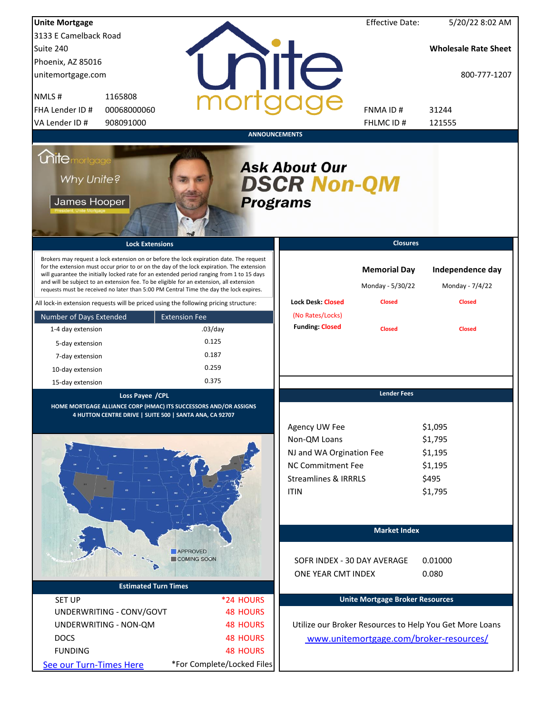| <b>Unite Mortgage</b>                                                                |                                                                                                                                                                                                                                                                                                                                                                                                                                                                        |                            |                      |                                                                                                                                  | <b>Effective Date:</b>                  | 5/20/22 8:02 AM                                              |
|--------------------------------------------------------------------------------------|------------------------------------------------------------------------------------------------------------------------------------------------------------------------------------------------------------------------------------------------------------------------------------------------------------------------------------------------------------------------------------------------------------------------------------------------------------------------|----------------------------|----------------------|----------------------------------------------------------------------------------------------------------------------------------|-----------------------------------------|--------------------------------------------------------------|
| 3133 E Camelback Road                                                                |                                                                                                                                                                                                                                                                                                                                                                                                                                                                        |                            |                      |                                                                                                                                  |                                         |                                                              |
| Suite 240                                                                            |                                                                                                                                                                                                                                                                                                                                                                                                                                                                        |                            |                      |                                                                                                                                  |                                         | <b>Wholesale Rate Sheet</b>                                  |
| Phoenix, AZ 85016                                                                    |                                                                                                                                                                                                                                                                                                                                                                                                                                                                        |                            |                      |                                                                                                                                  |                                         |                                                              |
| unitemortgage.com                                                                    |                                                                                                                                                                                                                                                                                                                                                                                                                                                                        |                            |                      | <b>ilTe</b>                                                                                                                      |                                         | 800-777-1207                                                 |
| NMLS#                                                                                | 1165808                                                                                                                                                                                                                                                                                                                                                                                                                                                                |                            |                      |                                                                                                                                  |                                         |                                                              |
| FHA Lender ID #                                                                      | 00068000060                                                                                                                                                                                                                                                                                                                                                                                                                                                            |                            |                      |                                                                                                                                  | FNMA ID#                                | 31244                                                        |
| VA Lender ID #                                                                       | 908091000                                                                                                                                                                                                                                                                                                                                                                                                                                                              |                            |                      |                                                                                                                                  | FHLMC ID#                               | 121555                                                       |
|                                                                                      |                                                                                                                                                                                                                                                                                                                                                                                                                                                                        |                            | <b>ANNOUNCEMENTS</b> |                                                                                                                                  |                                         |                                                              |
| <i><b>Unitemortgage</b></i><br>Why Unite?<br>James Hooper                            |                                                                                                                                                                                                                                                                                                                                                                                                                                                                        |                            |                      | <b>Ask About Our</b><br><b>DSCR Non-QM</b><br><b>Programs</b>                                                                    |                                         |                                                              |
|                                                                                      | <b>Lock Extensions</b>                                                                                                                                                                                                                                                                                                                                                                                                                                                 |                            |                      |                                                                                                                                  | <b>Closures</b>                         |                                                              |
|                                                                                      | Brokers may request a lock extension on or before the lock expiration date. The request<br>for the extension must occur prior to or on the day of the lock expiration. The extension<br>will guarantee the initially locked rate for an extended period ranging from 1 to 15 days<br>and will be subject to an extension fee. To be eligible for an extension, all extension<br>requests must be received no later than 5:00 PM Central Time the day the lock expires. |                            |                      |                                                                                                                                  | <b>Memorial Day</b><br>Monday - 5/30/22 | Independence day<br>Monday - 7/4/22                          |
| All lock-in extension requests will be priced using the following pricing structure: |                                                                                                                                                                                                                                                                                                                                                                                                                                                                        |                            |                      | <b>Lock Desk: Closed</b>                                                                                                         | <b>Closed</b>                           | <b>Closed</b>                                                |
| Number of Days Extended                                                              |                                                                                                                                                                                                                                                                                                                                                                                                                                                                        | <b>Extension Fee</b>       |                      | (No Rates/Locks)                                                                                                                 |                                         |                                                              |
| 1-4 day extension                                                                    |                                                                                                                                                                                                                                                                                                                                                                                                                                                                        | $.03$ /day                 |                      | <b>Funding: Closed</b>                                                                                                           | <b>Closed</b>                           | <b>Closed</b>                                                |
| 5-day extension                                                                      |                                                                                                                                                                                                                                                                                                                                                                                                                                                                        | 0.125                      |                      |                                                                                                                                  |                                         |                                                              |
| 7-day extension                                                                      |                                                                                                                                                                                                                                                                                                                                                                                                                                                                        | 0.187                      |                      |                                                                                                                                  |                                         |                                                              |
| 10-day extension                                                                     |                                                                                                                                                                                                                                                                                                                                                                                                                                                                        | 0.259                      |                      |                                                                                                                                  |                                         |                                                              |
| 15-day extension                                                                     |                                                                                                                                                                                                                                                                                                                                                                                                                                                                        | 0.375                      |                      |                                                                                                                                  |                                         |                                                              |
|                                                                                      | Loss Payee / CPL<br>HOME MORTGAGE ALLIANCE CORP (HMAC) ITS SUCCESSORS AND/OR ASSIGNS<br>4 HUTTON CENTRE DRIVE   SUITE 500   SANTA ANA, CA 92707                                                                                                                                                                                                                                                                                                                        |                            |                      | Agency UW Fee<br>Non-QM Loans<br>NJ and WA Orgination Fee<br>NC Commitment Fee<br><b>Streamlines &amp; IRRRLS</b><br><b>ITIN</b> | <b>Lender Fees</b>                      | \$1,095<br>\$1,795<br>\$1,195<br>\$1,195<br>\$495<br>\$1,795 |
|                                                                                      |                                                                                                                                                                                                                                                                                                                                                                                                                                                                        |                            |                      |                                                                                                                                  | <b>Market Index</b>                     |                                                              |
|                                                                                      |                                                                                                                                                                                                                                                                                                                                                                                                                                                                        | <b>APPROVED</b>            |                      |                                                                                                                                  |                                         |                                                              |
|                                                                                      |                                                                                                                                                                                                                                                                                                                                                                                                                                                                        | COMING SOON                |                      | SOFR INDEX - 30 DAY AVERAGE                                                                                                      |                                         | 0.01000                                                      |
|                                                                                      |                                                                                                                                                                                                                                                                                                                                                                                                                                                                        |                            |                      | ONE YEAR CMT INDEX                                                                                                               |                                         | 0.080                                                        |
|                                                                                      | <b>Estimated Turn Times</b>                                                                                                                                                                                                                                                                                                                                                                                                                                            |                            |                      |                                                                                                                                  |                                         |                                                              |
| <b>SET UP</b>                                                                        |                                                                                                                                                                                                                                                                                                                                                                                                                                                                        |                            | *24 HOURS            |                                                                                                                                  | <b>Unite Mortgage Broker Resources</b>  |                                                              |
|                                                                                      | UNDERWRITING - CONV/GOVT                                                                                                                                                                                                                                                                                                                                                                                                                                               |                            | <b>48 HOURS</b>      |                                                                                                                                  |                                         |                                                              |
|                                                                                      | UNDERWRITING - NON-QM                                                                                                                                                                                                                                                                                                                                                                                                                                                  |                            | <b>48 HOURS</b>      |                                                                                                                                  |                                         | Utilize our Broker Resources to Help You Get More Loans      |
| <b>DOCS</b>                                                                          |                                                                                                                                                                                                                                                                                                                                                                                                                                                                        |                            | <b>48 HOURS</b>      |                                                                                                                                  |                                         | www.unitemortgage.com/broker-resources/                      |
| <b>FUNDING</b>                                                                       |                                                                                                                                                                                                                                                                                                                                                                                                                                                                        |                            | <b>48 HOURS</b>      |                                                                                                                                  |                                         |                                                              |
| See our Turn-Times Here                                                              |                                                                                                                                                                                                                                                                                                                                                                                                                                                                        | *For Complete/Locked Files |                      |                                                                                                                                  |                                         |                                                              |
|                                                                                      |                                                                                                                                                                                                                                                                                                                                                                                                                                                                        |                            |                      |                                                                                                                                  |                                         |                                                              |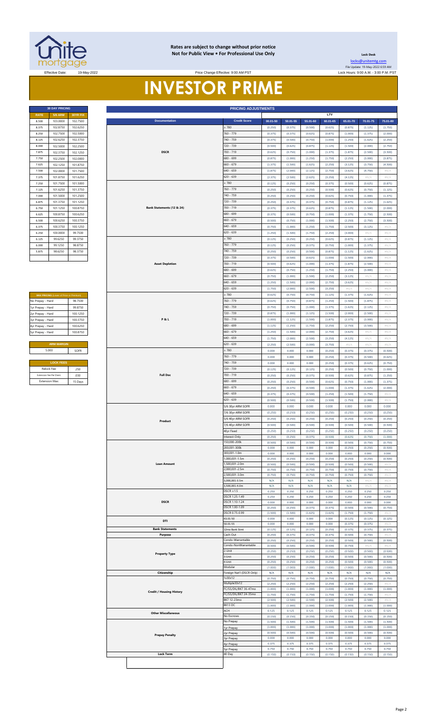

#### **Rates are subject to change without prior notice Not for Public View • For Professional Use Only <b>Leading Community** Lock Desk

Price Change Effective: 9:00 AM PST

[locks@unitemtg](mailto:locks@unitemtg.com).com File Update: 19-May-2022 6:59 AM Effective Date: 19-May-2022 Lock Hours: 9:00 A.M. - 3:00 P.M. PST

# **INVESTOR PRIME**

| <b>30 DAY PRICING</b> |                |          |  |  |  |  |  |  |  |
|-----------------------|----------------|----------|--|--|--|--|--|--|--|
| <b>RATE</b>           | <b>5/6 ARM</b> | 30YR FIX |  |  |  |  |  |  |  |
| 8.500                 | 103,0000       | 102.7500 |  |  |  |  |  |  |  |
| 8.375                 | 102.8750       | 102.6250 |  |  |  |  |  |  |  |
| 8.250                 | 102.7500       | 102.5000 |  |  |  |  |  |  |  |
| 8.125                 | 102.6250       | 102.3750 |  |  |  |  |  |  |  |
| 8.000                 | 102.5000       | 102.2500 |  |  |  |  |  |  |  |
| 7.875                 | 102.3750       | 102.1250 |  |  |  |  |  |  |  |
| 7.750                 | 102.2500       | 102.0000 |  |  |  |  |  |  |  |
| 7.625                 | 102.1250       | 101.8750 |  |  |  |  |  |  |  |
| 7.500                 | 102.0000       | 101.7500 |  |  |  |  |  |  |  |
| 7.375                 | 101.8750       | 101.6250 |  |  |  |  |  |  |  |
| 7.250                 | 101.7500       | 101.5000 |  |  |  |  |  |  |  |
| 7.125                 | 101.6250       | 101.3750 |  |  |  |  |  |  |  |
| 7.000                 | 101.5000       | 101.2500 |  |  |  |  |  |  |  |
| 6.875                 | 101.3750       | 101.1250 |  |  |  |  |  |  |  |
| 6.750                 | 101.1250       | 100.8750 |  |  |  |  |  |  |  |
| 6.625                 | 100.8750       | 100.6250 |  |  |  |  |  |  |  |
| 6.500                 | 100.6250       | 100.3750 |  |  |  |  |  |  |  |
| 6.375                 | 100.3750       | 100.1250 |  |  |  |  |  |  |  |
| 6.250                 | 100.0000       | 99.7500  |  |  |  |  |  |  |  |
| 6.125                 | 99.6250        | 99.3750  |  |  |  |  |  |  |  |
| 6.000                 | 99.1250        | 98.8750  |  |  |  |  |  |  |  |
| 5.875                 | 986250         | 98.3750  |  |  |  |  |  |  |  |
|                       |                |          |  |  |  |  |  |  |  |

| <b>MAX PRICING (Lower of Price or Premium)</b> |          |  |  |  |  |  |  |
|------------------------------------------------|----------|--|--|--|--|--|--|
| No Prepay - Hard                               | 98 7500  |  |  |  |  |  |  |
| 1yr Prepay - Hard                              | 99 8750  |  |  |  |  |  |  |
| 2yr Prepay - Hard                              | 100 1250 |  |  |  |  |  |  |
| 3yr Prepay - Hard                              | 100.3750 |  |  |  |  |  |  |
| 4yr Prepay - Hard                              | 100 6250 |  |  |  |  |  |  |
| 5yr Prepay - Hard                              | 100 8750 |  |  |  |  |  |  |
|                                                |          |  |  |  |  |  |  |
| <b>ARM MARGIN</b>                              |          |  |  |  |  |  |  |
| 5.000                                          | SOFR     |  |  |  |  |  |  |
|                                                |          |  |  |  |  |  |  |
| <b>LOCK FEES</b>                               |          |  |  |  |  |  |  |
| Relock Fee:                                    | .250     |  |  |  |  |  |  |
| Extension Fee Per Diem:                        | 030      |  |  |  |  |  |  |
| <b>Extension Max:</b>                          | 15 Days  |  |  |  |  |  |  |

|                                  | <b>30 DAY PRICING</b>                        |                      |  |                                 | <b>PRICING ADJUSTMENTS</b>                     |                    |                    | LTV                |                    |                    |                    |                    |
|----------------------------------|----------------------------------------------|----------------------|--|---------------------------------|------------------------------------------------|--------------------|--------------------|--------------------|--------------------|--------------------|--------------------|--------------------|
| <b>RATE</b>                      | <b>5/6 ARM</b><br>103.0000                   | 30YR FIX<br>102.7500 |  | <b>Documentation</b>            | <b>Credit Score</b>                            | $00.01 - 50$       | $50.01 - 55$       | 55.01-60           | 60.01-65           | 65.01-70           | 70.01-75           | 75.01-80           |
| 8.500<br>8.375                   | 102.8750                                     | 102.6250             |  |                                 | $\geq 780$                                     |                    |                    |                    |                    |                    |                    |                    |
| 8.250                            | 102.7500                                     | 102.5000             |  |                                 | 760 - 779                                      | (0.250)            | (0.375)            | (0.500)<br>(0.625) | (0.625)            | (0.875)            | (1.125)            | (1.750)            |
| 8.125                            | 102.6250                                     | 102.3750             |  |                                 | 740 - 759                                      | (0.375)<br>(0.375) | (0.375)<br>(0.500) | (0.750)            | (0.875)<br>(1.000) | (1.000)<br>(1.250) | (1.375)<br>(1.625) | (2.000)<br>(2.250) |
| 8.000                            |                                              |                      |  |                                 | 720 - 739                                      | (0.500)            | (0.625)            | (0.875)            | (1.125)            | (1.500)            | (2.000)            | (2.750)            |
| 7.875                            | 102.5000<br>102.2500<br>102.3750<br>102.1250 |                      |  | <b>DSCR</b>                     | 700 - 719                                      | (0.625)            | (0.750)            | (1.000)            | (1.375)            | (1.875)            | (2.500)            | (3.500)            |
|                                  | 102.2500                                     |                      |  |                                 | 680 - 699                                      |                    |                    |                    |                    |                    |                    |                    |
| 7.750                            |                                              | 102.0000             |  | $660 - 679$                     |                                                | (0.875)            | (1.000)            | (1.250)            | (1.750)            | (2.250)            | (3.000)            | (3.875)            |
| 7.625                            | 102.1250                                     | 101.8750             |  |                                 |                                                | (1.375)            | (1.500)            | (1.625)            | (2.250)            | (3.125)            | (3.750)            | (4.500)            |
| 7.500                            | 102.0000                                     | 101.7500             |  |                                 | $640 - 659$                                    | (1.875)            | (2.000)            | (2.125)            | (2.750)            | (3.625)            | (4.750)            | #N/A               |
| 7.375                            | 101.8750                                     | 101.6250             |  |                                 | 620 - 639                                      | (2.375)            | (2.500)            | (2.625)            | (3.250)            | (4.125)            | #N/A               | #N/A               |
| 7.250                            | 101.7500                                     | 101.5000             |  |                                 | : 780                                          | (0.125)            | (0.250)            | (0.250)            | (0.375)            | (0.500)            | (0.625)            | (0.875)            |
| 7.125                            | 101.6250                                     | 101.3750             |  |                                 | 760 - 779                                      | (0.250)            | (0.250)            | (0.250)            | (0.500)            | (0.625)            | (0.750)            | (1.125)            |
| 7.000                            | 101.5000                                     | 101.2500             |  |                                 | 740 - 759                                      | (0.250)            | (0.250)            | (0.250)            | (0.625)            | (0.750)            | (1.000)            | (1.375)            |
| 6.875                            | 101.3750                                     | 101.1250             |  |                                 | 720 - 739                                      | (0.250)            | (0.375)            | (0.375)            | (0.750)            | (0.875)            | (1.125)            | (1.625)            |
| 6.750                            | 101.1250                                     | 100.8750             |  | Bank Statements (12 & 24)       | 700 - 719                                      | (0.375)            | (0.375)            | (0.625)            | (0.875)            | (1.125)            | (1.500)            | (2.000)            |
| 6.625                            | 100.8750                                     | 100.6250             |  |                                 | 680 - 699                                      | (0.375)            | (0.500)            | (0.750)            | (1.000)            | (1.375)            | (1.750)            | (2.500)            |
| 6.500                            | 100.6250                                     | 100.3750             |  |                                 | $660 - 679$                                    | (0.500)            | (0.750)            | (1.000)            | (1.500)            | (2.250)            | (2.750)            | (3.500)            |
| 6.375                            | 100.3750                                     | 100.1250             |  |                                 | 640 - 659                                      | (0.750)            | (1.000)            | (1.250)            | (1.750)            | (2.500)            | (3.125)            | $\#N/A$            |
| 6.250                            | 100.0000                                     | 99.7500              |  |                                 | 620 - 639                                      | (1.250)            | (1.500)            | (1.750)            | (2.250)            | (3.000)            | #N/A               | $\#N/A$            |
| 6.125                            | 99.6250                                      | 99.3750              |  |                                 | : 780                                          | (0.125)            | (0.250)            | (0.250)            | (0.625)            | (0.875)            | (1.125)            | $\#N/A$            |
| 6.000                            | 99.1250                                      | 98.8750              |  |                                 | 760 - 779                                      | (0.125)            | (0.250)            | (0.375)            | (0.750)            | (1.000)            | (1.375)            | #N/A               |
| 5.875                            | 98.6250                                      | 98.3750              |  |                                 | 740 - 759                                      | (0.250)            | (0.250)            | (0.500)            | (0.875)            | (1.125)            | (1.625)            | #N/A               |
|                                  |                                              |                      |  |                                 | 720 - 739                                      | (0.375)            | (0.500)            | (0.625)            | (1.000)            | (1.500)            | (2.000)            | #N/A               |
|                                  |                                              |                      |  | <b>Asset Depletion</b>          | 700 - 719                                      | (0.500)            | (0.625)            | (1.000)            | (1.375)            | (1.875)            | (2.500)            | #N/A               |
|                                  |                                              |                      |  |                                 | 680 - 699                                      | (0.625)            | (0.750)            | (1.250)            | (1.750)            | (2.250)            | (3.000)            | $\#N/A$            |
|                                  |                                              |                      |  |                                 | $660 - 679$                                    | (0.750)            | (1.000)            | (1.500)            | (2.250)            | (3.125)            | #N//               | #N/A               |
|                                  |                                              |                      |  |                                 | $640 - 659$                                    |                    |                    |                    |                    |                    |                    |                    |
|                                  |                                              |                      |  |                                 | 620 - 639                                      | (1.250)            | (1.500)            | (2.000)            | (2.750)            | (3.625)            | #N/A               | $\#N/A$            |
|                                  |                                              |                      |  |                                 |                                                | (1.750)            | (2.000)            | (2.500)            | (3.250)            | $\#N/A$            | #N/A               | $\#N/A$            |
|                                  | MAX PRICING (Lower of Price or Premium)      |                      |  |                                 | : 780                                          | (0.625)            | (0.750)            | (0.750)            | (1.125)            | (1.375)            | (1.625)            | #N/A               |
| No Prepay - Hard                 |                                              | 98.7500              |  |                                 | 760 - 779                                      | (0.625)            | (0.750)            | (0.875)            | (1.250)            | (1.500)            | (1.875)            | $\#N/A$            |
| 1yr Prepay - Hard                |                                              | 99.8750              |  |                                 | 740 - 759                                      | (0.750)            | (0.750)            | (1.000)            | (1.375)            | (1.625)            | (2.125)            | $\#N/A$            |
| 2yr Prepay - Hard                |                                              | 100.1250             |  |                                 | 720 - 739                                      | (0.875)            | (1.000)            | (1.125)            | (1.500)            | (2.000)            | (2.500)            | #N/A               |
| 3yr Prepay - Hard                |                                              | 100.3750             |  | <b>P&amp;L</b>                  | $700 - 719$                                    | (1.000)            | (1.125)            | (1.500)            | (1.875)            | (2.375)            | (3.000)            | #N/A               |
| 4yr Prepay - Hard                |                                              | 100.6250             |  |                                 | 680 - 699                                      | (1.125)            | (1.250)            | (1.750)            | (2.250)            | (2.750)            | (3.500)            | $\#N/A$            |
| Syr Prepay - Hard                |                                              | 100.8750             |  |                                 | $660 - 679$                                    | (1.250)            | (1.500)            | (2.000)            | (2.750)            | (3.625)            | #N/A               | #N/A               |
|                                  |                                              |                      |  |                                 | $640 - 659$                                    | (1.750)            | (2.000)            | (2.500)            | (3.250)            | (4.125)            | #N/A               | #N/A               |
|                                  | <b>ARM MARGIN</b>                            |                      |  |                                 | 620 - 639                                      | (2.250)            | (2.500)            | (3.000)            | (3.750)            | #N/A               | #N/A               | $\#N/A$            |
| 5.000                            |                                              | SOFR                 |  |                                 | $\geq 780$                                     | 0.000              | 0.000              | 0.000              | (0.250)            | (0.375)            | (0.375)            | (0.500)            |
|                                  |                                              |                      |  |                                 | 760 - 779                                      | 0.000              | 0.000              | 0.000              | (0.250)            | (0.375)            | (0.500)            | (0.625)            |
|                                  | <b>LOCK FEES</b>                             |                      |  |                                 | 740 - 759                                      | 0.000              | 0.000              | 0.000              | (0.250)            | (0.375)            | (0.625)            | (0.750)            |
| Relock Fee:                      |                                              | .250                 |  | 720 - 739                       | (0.125)                                        | (0.125)            | (0.125)            | (0.250)            | (0.500)            | (0.750)            | (1.000)            |                    |
| Extension Fee Per Diem:          |                                              | .030                 |  | <b>Full Doc</b>                 | 700 - 719                                      | (0.250)            | (0.250)            | (0.375)            | (0.500)            | (0.625)            | (0.875)            | (1.250)            |
| <b>Extension Max:</b><br>15 Days |                                              |                      |  | 680 - 699                       | (0.250)                                        | (0.250)            | (0.500)            | (0.625)            | (0.750)            | (1.000)            | (1.375)            |                    |
|                                  |                                              |                      |  |                                 | $660 - 679$                                    | (0.250)            | (0.375)            | (0.500)            | (1.000)            | (1.375)            | (1.625)            | (2.000)            |
|                                  |                                              |                      |  |                                 | $640 - 659$                                    | (0.375)            | (0.375)            | (0.500)            | (1.250)            | (1.500)            | (1.750)            | $\#N/A$            |
|                                  |                                              |                      |  |                                 | $620 - 639$                                    | (0.500)            | (0.500)            | (0.500)            | (1.500)            | (1.750)            | (2.000)            | #N/A               |
|                                  |                                              |                      |  |                                 | 5/6 30yr ARM SOFR                              | 0.000              | 0.000              | 0.000              | 0.000              | 0.000              | 0.000              | 0.000              |
|                                  |                                              |                      |  |                                 | 7/6 30yr ARM SOFR                              | (0.250)            | (0.250)            | (0.250)            | (0.250)            | (0.250)            | (0.250)            | (0.250)            |
|                                  |                                              |                      |  |                                 | 5/6 40yr ARM SOFR                              | (0.250)            | (0.250)            | (0.250)            | (0.250)            | (0.250)            | (0.250)            | (0.250)            |
|                                  |                                              |                      |  | Product                         | 7/6 40yr ARM SOFR                              | (0.500)            | (0.500)            | (0.500)            | (0.500)            | (0.500)            | (0.500)            | (0.500)            |
|                                  |                                              |                      |  |                                 | 40yr Fixed                                     | (0.250)            | (0.250)            | (0.250)            | (0.250)            | (0.250)            | (0.250)            | (0.250)            |
|                                  |                                              |                      |  |                                 | Interest-Only                                  | (0.250)            | (0.250)            | (0.375)            | (0.500)            | (0.625)            | (0.750)            | (1.000)            |
|                                  |                                              |                      |  |                                 | 150,000-200k                                   | (0.500)            | (0.500)            | (0.500)            | (0.500)            | (0.500)            | (0.750)            | (0.750)            |
|                                  |                                              |                      |  |                                 | 200,001-300k                                   | 0.000              | 0.000              | 0.000              | 0.000              | (0.250)            | (0.250)            | (0.500)            |
|                                  |                                              |                      |  |                                 | 300,001-1.0m                                   | 0.000              | 0.000              | 0.000              | 0.000              | 0.000              | 0.000              | 0.000              |
|                                  |                                              |                      |  |                                 | 1,000,001-1.5m                                 | (0.250)            | (0.250)            | (0.250)            | (0.250)            | (0.250)            | (0.250)            | (0.500)            |
|                                  |                                              |                      |  | <b>Loan Amount</b>              | 1,500,001-2.0m                                 | (0.500)            | (0.500)            | (0.500)            | (0.500)            | (0.500)            | (0.500)            | #N/A               |
|                                  |                                              |                      |  |                                 | 2,000,001-2.5m                                 | (0.750)            | (0.750)            | (0.750)            | (0.750)            | (0.750)            | (0.750)            | #N/A               |
|                                  |                                              |                      |  |                                 | 2,500,001-3.0m                                 | (0.750)            | (0.750)            | (0.750)            | (0.750)            | (0.750)            | (0.750)            | #N/A               |
|                                  |                                              |                      |  |                                 | 3,000,001-3.5m                                 | N/A                | N/A                | N/A                | N/A                | N/A                | #N/ $/$            | #N//               |
|                                  |                                              |                      |  |                                 | 3,500,001-4.0m<br>$DSCR \geq 1.5$              | N/A<br>0.250       | N/A<br>0.250       | N/A<br>0.250       | N/A<br>0.250       | N/A<br>0.250       | #N/A<br>0.250      | #N/A<br>0.250      |
|                                  |                                              |                      |  |                                 | DSCR 1.25-1.49                                 | 0.250              | 0.250              | 0.250              | 0.250              | 0.250              | 0.250              | 0.250              |
|                                  |                                              |                      |  | <b>DSCR</b>                     | DSCR 1.10-1.24                                 | 0.000              | 0.000              | 0.000              | 0.000              | 0.000              | 0.000              | 0.000              |
|                                  |                                              |                      |  |                                 | DSCR 1.00-1.09                                 | (0.250)            | (0.250)            | (0.375)            | (0.375)            | (0.500)            | (0.500)            | (0.750)            |
|                                  |                                              |                      |  |                                 | DSCR 0.75-0.99                                 | (1.500)            | (1.500)            | (1.625)            | (1.625)            | (1.750)            | (1.750)            | #N/A               |
|                                  |                                              |                      |  | DTI                             | 43.01-50                                       | 0.000              | 0.000              | 0.000              | 0.000              | (0.125)            | (0.125)            | (0.125)            |
|                                  |                                              |                      |  |                                 | 50.01-55                                       | 0.000              | 0.000              | 0.000              | 0.000              | (0.375)            | (0.375)            | #N/.               |
|                                  |                                              |                      |  | <b>Bank Statements</b>          | 12mo Bank Stmt                                 | (0.125)            | (0.125)            | (0.125)            | (0.250)            | (0.375)            | (0.375)            | (0.375)            |
|                                  |                                              |                      |  | Purpose                         | Cash-Out<br>Iondo-Warrantable                  | (0.250)            | (0.375)            | (0.375)            | (0.375)            | (0.500)            | (0.750)            | #N/                |
|                                  |                                              |                      |  |                                 | Condo-NonWarrantable                           | (0.250)<br>(0.500) | (0.250)<br>(0.500) | (0.250)<br>(0.500) | (0.250)<br>(0.500) | (0.500)<br>(0.750) | (0.500)            | (0.500)            |
|                                  |                                              |                      |  |                                 | -Unit                                          | (0.250)            | (0.250)            | (0.250)            | (0.250)            | (0.500)            | (0.500)            | (0.500)            |
|                                  |                                              |                      |  | <b>Property Type</b>            | 3-Unit                                         | (0.250)            | (0.250)            | (0.250)            | (0.250)            | (0.500)            | (0.500)            | (0.500)            |
|                                  |                                              |                      |  |                                 | 4-Unit                                         | (0.250)            | (0.250)            | (0.250)            | (0.250)            | (0.500)            | (0.500)            | (0.500)            |
|                                  |                                              |                      |  |                                 | Modular                                        | (1.000)            | (1.000)            | (1.000)            | (1.000)            | (1.000)            | (1.000)            | (1.000)            |
|                                  |                                              |                      |  | Citizenship                     | Foreign Nat'l (DSCR Only)                      | N/A                | N/A                | N/A                | N/A                | N/A                | N/A                | N/A                |
|                                  |                                              |                      |  |                                 | x30x12                                         | (0.750)            | (0.750)            | (0.750)            | (0.750)            | (0.750)            | (0.750)            | (0.750)            |
|                                  |                                              |                      |  |                                 | Multiple30x12                                  | (2.250)            | (2.250)            | (2.250)            | (2.250)            | (2.250)            | (2.250)            | #N//               |
|                                  |                                              |                      |  | <b>Credit / Housing History</b> | FC/SS/DIL/BK7 36-47mo<br>FC/SS/DIL/BK7 24-35mo | (1.000)            | (1.000)            | (1.000)            | (1.000)            | (1.000)            | (1.000)            | (1.000)            |
|                                  |                                              |                      |  |                                 | (1.750)                                        | (1.750)            | (1.750)            | (1.750)            | (1.750)            | (1.750)            | #N/                |                    |
|                                  |                                              |                      |  |                                 | BK7 12-23mo<br>BK13 DC                         | (2.500)<br>(1.000) | (2.500)<br>(1.000) | (2.500)<br>(1.000) | (2.500)<br>(1.000) | (2.500)<br>(1.000) | (2.500)<br>(1.000) | #N/A<br>(1.000)    |
|                                  |                                              |                      |  |                                 | ACH                                            | 0.125              | 0.125              | 0.125              | 0.125              | 0.125              | 0.125              | 0.125              |
|                                  |                                              |                      |  | <b>Other Miscellaneous</b>      | No Escrows                                     | (0.150)            | (0.150)            | (0.150)            | (0.150)            | (0.150)            | (0.150)            | (0.150)            |
|                                  |                                              |                      |  |                                 | No Prepay                                      | (1.500)            | (1.500)            | (1.500)            | (1.500)            | (1.500)            | (1.500)            | (1.500)            |
|                                  |                                              |                      |  |                                 | yr Prepay                                      | (1.000)            | (1.000)            | (1.000)            | (1.000)            | (1.000)            | (1.000)            | (1.000)            |
|                                  |                                              |                      |  | <b>Prepay Penalty</b>           | yr Prepay                                      | (0.500)            | (0.500)            | (0.500)            | (0.500)            | (0.500)            | (0.500)            | (0.500)            |
|                                  |                                              |                      |  |                                 | yr Prepay                                      | 0.000<br>0.375     | 0.000<br>0.375     | 0.000<br>0.375     | 0.000<br>0.375     | 0.000<br>0.375     | 0.000<br>0.375     | 0.000<br>0.375     |
|                                  |                                              |                      |  |                                 | 4yr Prepay<br>yr Prepay                        | 0.750              | 0.750              | 0.750              | 0.750              | 0.750              | 0.750              | 0.750              |
|                                  |                                              |                      |  |                                 |                                                |                    |                    |                    |                    |                    |                    |                    |
|                                  |                                              |                      |  | <b>Lock Term</b>                | 40 Day                                         | (0.150)            | (0.150)            | (0.150)            | (0.150)            | (0.150)            | (0.150)            | (0.150)            |
|                                  |                                              |                      |  |                                 |                                                |                    |                    |                    |                    |                    |                    |                    |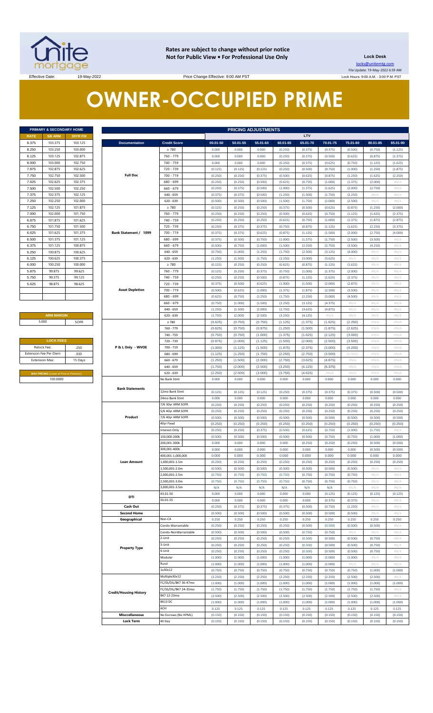

**Rates are subject to change without prior notice Not for Public View • For Professional Use Only Lock Desk**

locks@unitemtg.com File Update: 19-May-2022 6:59 AM Lock Hours: 9:00 A.M. - 3:00 P.M. PST

Effective Date: 19-May-2022 19-May-2022 Price Change Effective: 9:00 AM PST

# **OWNER-OCCUPIED PRIME**

| PRIMARY & SECONDARY HOME |                |          |  |  |  |  |  |  |  |
|--------------------------|----------------|----------|--|--|--|--|--|--|--|
| <b>RATE</b>              | <b>5/6 ARM</b> | 30YR FIX |  |  |  |  |  |  |  |
| 8.375                    | 103.375        | 103.125  |  |  |  |  |  |  |  |
| 8.250                    | 103.250        | 103,000  |  |  |  |  |  |  |  |
| 8.125                    | 103.125        | 102.875  |  |  |  |  |  |  |  |
| 8.000                    | 103.000        | 102.750  |  |  |  |  |  |  |  |
| 7.875                    | 102.875        | 102.625  |  |  |  |  |  |  |  |
| 7.750                    | 102.750        | 102.500  |  |  |  |  |  |  |  |
| 7.625                    | 102.625        | 102 375  |  |  |  |  |  |  |  |
| 7.500                    | 102.500        | 102.250  |  |  |  |  |  |  |  |
| 7.375                    | 102.375        | 102.125  |  |  |  |  |  |  |  |
| 7.250                    | 102.250        | 102.000  |  |  |  |  |  |  |  |
| 7.125                    | 102.125        | 101.875  |  |  |  |  |  |  |  |
| 7.000                    | 102.000        | 101.750  |  |  |  |  |  |  |  |
| 6.875                    | 101.875        | 101.625  |  |  |  |  |  |  |  |
| 6.750                    | 101.750        | 101.500  |  |  |  |  |  |  |  |
| 6.625                    | 101.625        | 101.375  |  |  |  |  |  |  |  |
| 6,500                    | 101.375        | 101.125  |  |  |  |  |  |  |  |
| 6.375                    | 101.125        | 100.875  |  |  |  |  |  |  |  |
| 6.250                    | 100.875        | 100.625  |  |  |  |  |  |  |  |
| 6.125                    | 100.625        | 100.375  |  |  |  |  |  |  |  |
| 6.000                    | 100.250        | 100.000  |  |  |  |  |  |  |  |
| 5.875                    | 99.875         | 99.625   |  |  |  |  |  |  |  |
| 5.750                    | 99.375         | 99.125   |  |  |  |  |  |  |  |
| 5.625                    | 98.875         | 98.625   |  |  |  |  |  |  |  |
|                          |                |          |  |  |  |  |  |  |  |
|                          |                |          |  |  |  |  |  |  |  |
|                          |                |          |  |  |  |  |  |  |  |

## **ARM MARGIN** 5.000

| <b>LOCK FEES</b>                               |         |  |  |  |  |  |  |  |
|------------------------------------------------|---------|--|--|--|--|--|--|--|
| Relock Fee:                                    | .250    |  |  |  |  |  |  |  |
| <b>Extension Fee Per Diem</b>                  | .030    |  |  |  |  |  |  |  |
| <b>Extension Max:</b>                          | 15 Days |  |  |  |  |  |  |  |
|                                                |         |  |  |  |  |  |  |  |
| <b>MAX PRICING (Lower of Price or Premium)</b> |         |  |  |  |  |  |  |  |
| 100,0000                                       |         |  |  |  |  |  |  |  |

|       | PRIMARY & SECONDARY HOME                |          |                               |                       |          |          | <b>PRICING ADJUSTMENTS</b> |          |          |          |          |               |          |
|-------|-----------------------------------------|----------|-------------------------------|-----------------------|----------|----------|----------------------------|----------|----------|----------|----------|---------------|----------|
| RATE  | <b>5/6 ARM</b>                          | 30YR FIX |                               |                       |          |          |                            |          | LTV      |          |          |               |          |
| 8.375 | 103.375                                 | 103.125  | <b>Documentation</b>          | <b>Credit Score</b>   | 00.01-50 | 50.01-55 | 55.01-60                   | 60.01-65 | 65.01-70 | 70.01-75 | 75.01-80 | 80.01-85      | 85.01-90 |
| 8.250 | 103.250                                 | 103.000  |                               | $\geq 780$            | 0.000    | 0.000    | 0.000                      | (0.250)  | (0.375)  | (0.375)  | (0.500)  | (0.750)       | (1.125)  |
| 8.125 | 103.125                                 | 102.875  |                               | 760 - 779             | 0.000    | 0.000    | 0.000                      | (0.250)  | (0.375)  | (0.500)  | (0.625)  | (0.875)       | (1.375)  |
|       |                                         |          |                               |                       |          |          |                            |          |          |          |          |               |          |
| 8.000 | 103.000                                 | 102.750  |                               | 740 - 759             | 0.000    | 0.000    | 0.000                      | (0.250)  | (0.375)  | (0.625)  | (0.750)  | (1.125)       | (1.625)  |
| 7.875 | 102.875                                 | 102.625  |                               | 720 - 739             | (0.125)  | (0.125)  | (0.125)                    | (0.250)  | (0.500)  | (0.750)  | (1.000)  | (1.250)       | (1.875)  |
| 7.750 | 102.750                                 | 102.500  | <b>Full Doc</b>               | 700 - 719             | (0.250)  | (0.250)  | (0.375)                    | (0.500)  | (0.625)  | (0.875)  | (1.250)  | (1.625)       | (2.250)  |
| 7.625 | 102.625                                 | 102.375  |                               | 680 - 699             | (0.250)  | (0.250)  | (0.500)                    | (0.625)  | (0.750)  | (1.000)  | (1.375)  | (2.000)       | #N/A     |
| 7.500 | 102.500                                 | 102.250  |                               | $660 - 679$           | (0.250)  | (0.375)  | (0.500)                    | (1.000)  | (1.375)  | (1.625)  | (2.000)  | (2.750)       | #N/A     |
| 7.375 | 102.375                                 | 102.125  |                               | $640 - 659$           | (0.375)  | (0.375)  | (0.500)                    | (1.250)  | (1.500)  | (1.750)  | (2.250)  | $\#N/A$       | #N/A     |
| 7.250 | 102.250                                 | 102.000  |                               | $620 - 639$           | (0.500)  | (0.500)  | (0.500)                    | (1.500)  | (1.750)  | (2.000)  | (2.500)  | $\#N/A$       | #N/A     |
| 7.125 | 102.125                                 | 101.875  |                               | $\geq 780$            | (0.125)  | (0.250)  | (0.250)                    | (0.375)  | (0.500)  | (0.625)  | (0.875)  | (1.250)       | (2.000)  |
| 7.000 | 102.000                                 | 101.750  |                               | 760 - 779             | (0.250)  | (0.250)  | (0.250)                    | (0.500)  | (0.625)  | (0.750)  | (1.125)  | (1.625)       | (2.375)  |
|       |                                         |          |                               |                       |          |          |                            |          |          |          |          |               |          |
| 6.875 | 101.875                                 | 101.625  |                               | 740 - 759             | (0.250)  | (0.250)  | (0.250)                    | (0.625)  | (0.750)  | (1.000)  | (1.375)  | (1.875)       | (2.875)  |
| 6.750 | 101.750                                 | 101.500  |                               | 720 - 739             | (0.250)  | (0.375)  | (0.375)                    | (0.750)  | (0.875)  | (1.125)  | (1.625)  | (2.250)       | (3.375)  |
| 6.625 | 101.625                                 | 101.375  | Bank Statement / 1099         | 700 - 719             | (0.375)  | (0.375)  | (0.625)                    | (0.875)  | (1.125)  | (1.500)  | (2.000)  | (2.750)       | (4.000)  |
| 6.500 | 101.375                                 | 101.125  |                               | 680 - 699             | (0.375)  | (0.500)  | (0.750)                    | (1.000)  | (1.375)  | (1.750)  | (2.500)  | (3.500)       | #N/ $/$  |
| 6.375 | 101.125                                 | 100.875  |                               | $660 - 679$           | (0.500)  | (0.750)  | (1.000)                    | (1.500)  | (2.250)  | (2.750)  | (3.500)  | (4.250)       | #N/A     |
| 6.250 | 100.875                                 | 100.625  |                               | $640 - 659$           | (0.750)  | (1.000)  | (1.250)                    | (1.750)  | (2.500)  | (3.125)  | (4.000)  | $\#N/\Lambda$ | #N/A     |
| 6.125 | 100.625                                 | 100.375  |                               | $620 - 639$           | (1.250)  | (1.500)  | (1.750)                    | (2.250)  | (3.000)  | (3.625)  | #N/A     | $\#N/A$       | #N/A     |
| 6.000 | 100.250                                 | 100.000  |                               | $\geq 780$            | (0.125)  | (0.250)  | (0.250)                    | (0.625)  | (0.875)  | (1.125)  | (1.625)  | #N/A          | #N/A     |
| 5.875 | 99.875                                  | 99.625   |                               | 760 - 779             | (0.125)  | (0.250)  | (0.375)                    | (0.750)  | (1.000)  | (1.375)  | (2.000)  | $\#N/A$       | #N/A     |
| 5.750 | 99.375                                  | 99.125   |                               | 740 - 759             | (0.250)  | (0.250)  | (0.500)                    | (0.875)  | (1.125)  | (1.625)  | (2.375)  | $\#N/A$       | #N/A     |
|       |                                         |          |                               |                       |          |          |                            |          |          |          |          |               |          |
| 5.625 | 98.875                                  | 98.625   |                               | 720 - 739             | (0.375)  | (0.500)  | (0.625)                    | (1.000)  | (1.500)  | (2.000)  | (2.875)  | $\#N/A$       | #N/A     |
|       |                                         |          | <b>Asset Depletion</b>        | 700 - 719             | (0.500)  | (0.625)  | (1.000)                    | (1.375)  | (1.875)  | (2.500)  | (3.500)  | $\#N/A$       | #N/A     |
|       |                                         |          |                               | 680 - 699             | (0.625)  | (0.750)  | (1.250)                    | (1.750)  | (2.250)  | (3.000)  | (4.500)  | $\#N/A$       | #N/A     |
|       |                                         |          |                               | $660 - 679$           | (0.750)  | (1.000)  | (1.500)                    | (2.250)  | (3.125)  | (4.375)  | #N/A     | $\#N/A$       | #N/A     |
|       |                                         |          |                               | $640 - 659$           | (1.250)  | (1.500)  | (2.000)                    | (2.750)  | (3.625)  | (4.875)  | #N/A     | $\#N/A$       | #N/A     |
|       | <b>ARM MARGIN</b>                       |          |                               | $620 - 639$           | (1.750)  | (2.000)  | (2.500)                    | (3.250)  | (4.125)  | #N/A     | #N/ $/$  | $\#N/A$       | #N/A     |
|       | 5.000                                   | SOFR     |                               | $\geq 780$            | (0.625)  | (0.750)  | (0.750)                    | (1.125)  | (1.375)  | (1.625)  | (2.250)  | #N/A          | #N/A     |
|       |                                         |          |                               | 760 - 779             | (0.625)  | (0.750)  | (0.875)                    | (1.250)  | (1.500)  | (1.875)  | (2.625)  | #N/A          | #N/A     |
|       |                                         |          |                               | 740 - 759             | (0.750)  | (0.750)  | (1.000)                    | (1.375)  | (1.625)  | (2.125)  | (3.000)  | #N/A          | #N/A     |
|       | <b>LOCK FEES</b>                        |          |                               | 720 - 739             | (0.875)  | (1.000)  | (1.125)                    | (1.500)  | (2.000)  | (2.500)  | (3.500)  | #N/A          | #N/A     |
|       | Relock Fee:                             | .250     | P & L Only - WVOE             | 700 - 719             | (1.000)  | (1.125)  | (1.500)                    | (1.875)  | (2.375)  | (3.000)  | (4.250)  | #N/A          | #N/A     |
|       | xtension Fee Per Diem                   |          |                               |                       |          |          |                            |          |          |          |          |               |          |
|       |                                         | .030     |                               | 680 - 699             | (1.125)  | (1.250)  | (1.750)                    | (2.250)  | (2.750)  | (3.500)  | (5.000)  | #N/A          | #N/A     |
|       | <b>Extension Max:</b>                   | 15 Days  |                               | 660 - 679             | (1.250)  | (1.500)  | (2.000)                    | (2.750)  | (3.625)  | (4.875)  | $\#N/A$  | #N/A          | #N/A     |
|       |                                         |          |                               | $640 - 659$           | (1.750)  | (2.000)  | (2.500)                    | (3.250)  | (4.125)  | (5.375)  | $\#N/A$  | #N/A          | #N/A     |
|       | MAX PRICING (Lower of Price or Premium) |          |                               | $620 - 639$           | (2.250)  | (2.500)  | (3.000)                    | (3.750)  | (4.625)  | #N/A     | $\#N/A$  | #N/A          | #N/A     |
|       | 100.0000                                |          |                               | No Bank Stmt          | 0.000    | 0.000    | 0.000                      | 0.000    | 0.000    | 0.000    | 0.000    | 0.000         | 0.000    |
|       |                                         |          | <b>Bank Statements</b>        |                       |          |          |                            |          |          |          |          |               |          |
|       |                                         |          |                               | 12mo Bank Stmt        | (0.125)  | (0.125)  | (0.125)                    | (0.250)  | (0.375)  | (0.375)  | (0.375)  | (0.500)       | (0.500)  |
|       |                                         |          |                               | 24mo Bank Stmt        | 0.000    | 0.000    | 0.000                      | 0.000    | 0.000    | 0.000    | 0.000    | 0.000         | 0.000    |
|       |                                         |          |                               | 7/6 30yr ARM SOFR     | (0.250)  | (0.250)  | (0.250)                    | (0.250)  | (0.250)  | (0.250)  | (0.250)  | (0.250)       | (0.250)  |
|       |                                         |          |                               | 5/6 40yr ARM SOFR     | (0.250)  | (0.250)  | (0.250)                    | (0.250)  | (0.250)  | (0.250)  | (0.250)  | (0.250)       | (0.250)  |
|       |                                         |          | Product                       | 7/6 40yr ARM SOFR     | (0.500)  | (0.500)  | (0.500)                    | (0.500)  | (0.500)  | (0.500)  | (0.500)  | (0.500)       | (0.500)  |
|       |                                         |          |                               | 40yr Fixed            | (0.250)  | (0.250)  | (0.250)                    | (0.250)  | (0.250)  | (0.250)  | (0.250)  | (0.250)       | (0.250)  |
|       |                                         |          |                               | Interest-Only         | (0.250)  | (0.250)  | (0.375)                    | (0.500)  | (0.625)  | (0.750)  | (1.000)  | (1.750)       | #N/A     |
|       |                                         |          |                               |                       |          |          |                            |          |          |          |          |               |          |
|       |                                         |          |                               | 150,000-200k          | (0.500)  | (0.500)  | (0.500)                    | (0.500)  | (0.500)  | (0.750)  | (0.750)  | (1.000)       | (1.000)  |
|       |                                         |          |                               | 200,001-300k          | 0.000    | 0.000    | 0.000                      | 0.000    | (0.250)  | (0.250)  | (0.250)  | (0.500)       | (0.500)  |
|       |                                         |          |                               | 300,001-400k          | 0.000    | 0.000    | 0.000                      | 0.000    | 0.000    | 0.000    | 0.000    | (0.500)       | (0.500)  |
|       |                                         |          |                               | 400,001-1,000,000     | 0.000    | 0.000    | 0.000                      | 0.000    | 0.000    | 0.000    | 0.000    | 0.000         | 0.000    |
|       |                                         |          | <b>Loan Amount</b>            | 1,000,001-1.5m        | (0.250)  | (0.250)  | (0.250)                    | (0.250)  | (0.250)  | (0.250)  | (0.250)  | (0.250)       | (0.250)  |
|       |                                         |          |                               | 1,500,001-2.0m        | (0.500)  | (0.500)  | (0.500)                    | (0.500)  | (0.500)  | (0.500)  | (0.500)  | $\#N/A$       | #N/A     |
|       |                                         |          |                               | 2,000,001-2.5m        | (0.750)  | (0.750)  | (0.750)                    | (0.750)  | (0.750)  | (0.750)  | (0.750)  | $\#N/A$       | #N/A     |
|       |                                         |          |                               | 2,500,001-3.0m        | (0.750)  | (0.750)  | (0.750)                    | (0.750)  | (0.750)  | (0.750)  | (0.750)  | #N/A          | #N/A     |
|       |                                         |          |                               | 3,000,001-3.5m        | N/A      | N/A      | N/A                        | N/A      | N/A      | N/A      | #N/A     | $\#N/A$       | #N/ $/$  |
|       |                                         |          |                               | 43.01-50              | 0.000    | 0.000    | 0.000                      | 0.000    | 0.000    | (0.125)  | (0.125)  | (0.125)       | (0.125)  |
|       |                                         |          | DTI                           | 50.01-55              | 0.000    | 0.000    | 0.000                      | 0.000    | 0.000    | (0.375)  | (0.375)  | #N/A          | #N/ $/$  |
|       |                                         |          | Cash Out                      |                       | (0.250)  | (0.375)  | (0.375)                    | (0.375)  | (0.500)  | (0.750)  | (1.250)  | $\#N/A$       | #N/A     |
|       |                                         |          |                               |                       |          |          |                            |          |          |          |          |               |          |
|       |                                         |          | <b>Second Home</b>            |                       | (0.500)  | (0.500)  | (0.500)                    | (0.500)  | (0.500)  | (0.500)  | (0.500)  | $\#N/A$       | #N/A     |
|       |                                         |          | Geographical                  | Non-CA                | 0.250    | 0.250    | 0.250                      | 0.250    | 0.250    | 0.250    | 0.250    | 0.250         | 0.250    |
|       |                                         |          |                               | Condo-Warrantable     | (0.250)  | (0.250)  | (0.250)                    | (0.250)  | (0.500)  | (0.500)  | (0.500)  | (0.500)       | #N/A     |
|       |                                         |          |                               | Condo-NonWarrantable  | (0.500)  | (0.500)  | (0.500)                    | (0.500)  | (0.750)  | (0.750)  | #N/A     | #N/A          | #N/A     |
|       |                                         |          |                               | 2-Unit                | (0.250)  | (0.250)  | (0.250)                    | (0.250)  | (0.500)  | (0.500)  | (0.500)  | (0.750)       | #N/A     |
|       |                                         |          | <b>Property Type</b>          | 3-Unit                | (0.250)  | (0.250)  | (0.250)                    | (0.250)  | (0.500)  | (0.500)  | (0.500)  | (0.750)       | #N/A     |
|       |                                         |          |                               | 4-Unit                | (0.250)  | (0.250)  | (0.250)                    | (0.250)  | (0.500)  | (0.500)  | (0.500)  | (0.750)       | #N/A     |
|       |                                         |          |                               | Modular               | (1.000)  | (1.000)  | (1.000)                    | (1.000)  | (1.000)  | (1.000)  | (1.000)  | #N/A          | #N/ $/$  |
|       |                                         |          |                               | Rural                 | (1.000)  | (1.000)  | (1.000)                    | (1.000)  | (1.000)  | (1.000)  | #N//     | $\#N/A$       | #N/ $/$  |
|       |                                         |          |                               | 1x30x12               | (0.750)  | (0.750)  | (0.750)                    | (0.750)  | (0.750)  | (0.750)  | (0.750)  | (1.000)       | (1.000)  |
|       |                                         |          |                               | Multiple30x12         | (2.250)  | (2.250)  | (2.250)                    | (2.250)  | (2.250)  | (2.250)  | (2.500)  | (2.500)       | #N//     |
|       |                                         |          |                               | FC/SS/DIL/BK7 36-47mo | (1.000)  | (1.000)  | (1.000)                    | (1.000)  | (1.000)  | (1.000)  | (1.000)  | (1.000)       | (1.000)  |
|       |                                         |          |                               | FC/SS/DIL/BK7 24-35mo |          |          |                            |          |          |          |          |               |          |
|       |                                         |          | <b>Credit/Housing History</b> |                       | (1.750)  | (1.750)  | (1.750)                    | (1.750)  | (1.750)  | (1.750)  | (1.750)  | (1.750)       | #N/ $/$  |
|       |                                         |          |                               | BK7 12-23mo           | (2.500)  | (2.500)  | (2.500)                    | (2.500)  | (2.500)  | (2.500)  | (2.500)  | (2.500)       | #N/A     |
|       |                                         |          |                               | BK13 DC               | (1.000)  | (1.000)  | (1.000)                    | (1.000)  | (1.000)  | (1.000)  | (1.000)  | (1.000)       | (1.000)  |
|       |                                         |          |                               | ACH                   | 0.125    | 0.125    | 0.125                      | 0.125    | 0.125    | 0.125    | 0.125    | 0.125         | 0.125    |
|       |                                         |          | <b>Misccellaneous</b>         | No Escrows (No HPML)  | (0.150)  | (0.150)  | (0.150)                    | (0.150)  | (0.150)  | (0.150)  | (0.150)  | (0.150)       | (0.150)  |
|       |                                         |          | <b>Lock Term</b>              | 40 Day                | (0.150)  | (0.150)  | (0.150)                    | (0.150)  | (0.150)  | (0.150)  | (0.150)  | (0.150)       | (0.150)  |
|       |                                         |          |                               |                       |          |          |                            |          |          |          |          |               |          |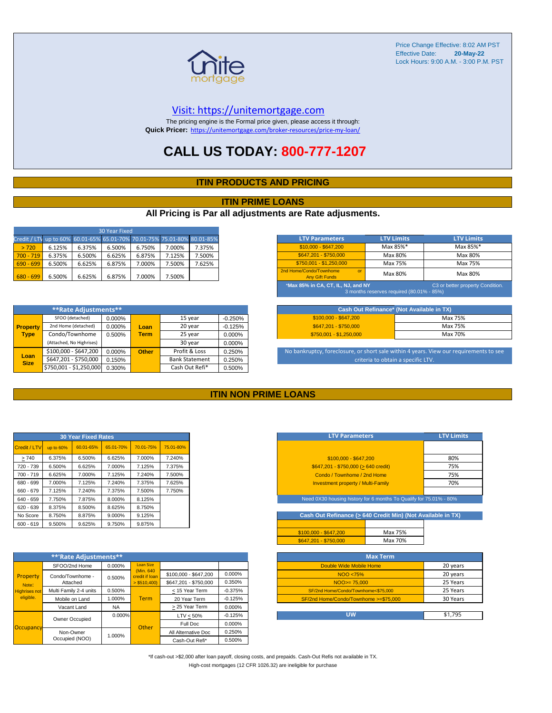

#### [V](https://unitemortgage.com/)isit: https://unitemortgage.com

The pricing engine is the Formal price given, please access it through: **Quick Pricer:** [https://un](https://unitemortgage.com/broker-resources/price-my-loan/)itemortgage.com/broker-resources/price-my-loan/

## **CALL US TODAY: 800-777-1207**

### **ITIN PRODUCTS AND PRICING**

#### **ITIN PRIME LOANS**

### **All Pricing is Par all adjustments are Rate adjusments.**

| 30 Year Fixed                                                            |        |        |        |        |        |        |  |  |  |  |
|--------------------------------------------------------------------------|--------|--------|--------|--------|--------|--------|--|--|--|--|
| Credit / LTV up to 60% 60.01-65% 65.01-70% 70.01-75% 75.01-80% 80.01-85% |        |        |        |        |        |        |  |  |  |  |
| > 720                                                                    | 6.125% | 6.375% | 6.500% | 6.750% | 7.000% | 7.375% |  |  |  |  |
| $700 - 719$                                                              | 6.375% | 6.500% | 6.625% | 6.875% | 7.125% | 7.500% |  |  |  |  |
| $690 - 699$                                                              | 6.500% | 6.625% | 6.875% | 7.000% | 7.500% | 7.625% |  |  |  |  |
| $680 - 699$                                                              | 6.500% | 6.625% | 6.875% | 7.000% | 7.500% |        |  |  |  |  |

| <b>LTV Parameters</b>                                        | <b>LTV Limits</b>                         | <b>LTV Limits</b>                |
|--------------------------------------------------------------|-------------------------------------------|----------------------------------|
| \$10,000 - \$647,200                                         | Max 85%*                                  | Max 85%*                         |
| \$647.201 - \$750.000                                        | Max 80%                                   | Max 80%                          |
| \$750.001 - \$1.250.000                                      | Max 75%                                   | Max 75%                          |
| 2nd Home/Condo/Townhome<br>$\alpha$<br><b>Any Gift Funds</b> | Max 80%                                   | Max 80%                          |
| *Max 85% in CA, CT, IL, NJ, and NY                           | 3 months reserves required (80.01% - 85%) | C3 or better property Condition. |

|                     | **Rate Adjustments**     |        |              |                       |           |  |  |  |  |
|---------------------|--------------------------|--------|--------------|-----------------------|-----------|--|--|--|--|
|                     | SFOO (detached)          | 0.000% |              | 15 year               | $-0.250%$ |  |  |  |  |
| <b>Property</b>     | 2nd Home (detached)      | 0.000% | Loan         | 20 year               | $-0.125%$ |  |  |  |  |
| <b>Type</b>         | Condo/Townhome           | 0.500% | <b>Term</b>  | 25 year               | 0.000%    |  |  |  |  |
|                     | (Attached, No Highrises) |        |              | 30 year               | 0.000%    |  |  |  |  |
|                     | \$100,000 - \$647,200    | 0.000% | <b>Other</b> | Profit & Loss         | 0.250%    |  |  |  |  |
| Loan<br><b>Size</b> | \$647,201 - \$750,000    | 0.150% |              | <b>Bank Statement</b> | 0.250%    |  |  |  |  |
|                     | \$750,001 - \$1,250,000  | 0.300% |              | Cash Out Refi*        | 0.500%    |  |  |  |  |

| Cash Out Refinance* (Not Available in TX) |         |  |  |  |  |  |  |  |
|-------------------------------------------|---------|--|--|--|--|--|--|--|
| $$100.000 - $647.200$                     | Max 75% |  |  |  |  |  |  |  |
| \$647.201 - \$750.000                     | Max 75% |  |  |  |  |  |  |  |
| $$750.001 - $1.250.000$                   | Max 70% |  |  |  |  |  |  |  |

No bankruptcy, foreclosure, or short sale within 4 years. View our requirements to see criteria to obtain a specific LTV.

#### **ITIN NON PRIME LOANS**

| <b>30 Year Fixed Rates</b> |           |           |           |           |           |  |  |  |  |  |
|----------------------------|-----------|-----------|-----------|-----------|-----------|--|--|--|--|--|
| Credit / LTV               | up to 60% | 60.01-65% | 65.01-70% | 70.01-75% | 75.01-80% |  |  |  |  |  |
| >740                       | 6.375%    | 6.500%    | 6.625%    | 7.000%    | 7.240%    |  |  |  |  |  |
| 720 - 739                  | 6.500%    | 6.625%    | 7.000%    | 7.125%    | 7.375%    |  |  |  |  |  |
| $700 - 719$                | 6.625%    | 7.000%    | 7.125%    | 7.240%    | 7.500%    |  |  |  |  |  |
| 680 - 699                  | 7.000%    | 7.125%    | 7.240%    | 7.375%    | 7.625%    |  |  |  |  |  |
| 660 - 679                  | 7.125%    | 7.240%    | 7.375%    | 7.500%    | 7.750%    |  |  |  |  |  |
| 640 - 659                  | 7.750%    | 7.875%    | 8.000%    | 8.125%    |           |  |  |  |  |  |
| $620 - 639$                | 8.375%    | 8.500%    | 8.625%    | 8.750%    |           |  |  |  |  |  |
| No Score                   | 8.750%    | 8.875%    | 9.000%    | 9.125%    |           |  |  |  |  |  |
| $600 - 619$                | 9.500%    | 9.625%    | 9.750%    | 9.875%    |           |  |  |  |  |  |

|                      | **'Rate Adjustments**  |           |                              |                       |           |
|----------------------|------------------------|-----------|------------------------------|-----------------------|-----------|
|                      | SFOO/2nd Home          | 0.000%    | <b>Loan Size</b>             |                       |           |
| Property             | Condo/Townhome -       | 0.500%    | (Min. 640)<br>credit if Ioan | \$100,000 - \$647,200 | 0.000%    |
| Note:                | Attached               |           | $>$ \$510,400)               | \$647.201 - \$750.000 | 0.350%    |
| <b>Highrises not</b> | Multi Family 2-4 units | 0.500%    |                              | < 15 Year Term        | $-0.375%$ |
| eligible.            | Mobile on Land         | 1.000%    | <b>Term</b>                  | 20 Year Term          | $-0.125%$ |
|                      | Vacant Land            | <b>NA</b> |                              | > 25 Year Term        | 0.000%    |
|                      | Owner Occupied         | $0.000\%$ |                              | $LTV < 50\%$          | $-0.125%$ |
| Occupancy            |                        |           | Other                        | Full Doc              | 0.000%    |
|                      | Non-Owner              | 1.000%    |                              | All Alternative Doc   | 0.250%    |
|                      | Occupied (NOO)         |           |                              | Cash-Out Refi*        | 0.500%    |

| <b>LTV Parameters</b>                        | <b>LTV Limits</b> |
|----------------------------------------------|-------------------|
|                                              |                   |
| $$100,000 - $647,200$                        | 80%               |
| $$647,201 - $750,000 (> 640 \text{ credit})$ | 75%               |
| Condo / Townhome / 2nd Home                  | 75%               |
| <b>Investment property / Multi-Family</b>    | 70%               |
|                                              |                   |

Need 0X30 housing history for 6 months To Qualify for 75.01% - 80%

Cash Out Refinance ( $\geq 640$  Credit Min) (Not Available in TX)

| $$100.000 - $647.200$ | Max 75% |
|-----------------------|---------|
| \$647.201 - \$750.000 | Max 70% |

| <b>Max Term</b>                       |          |
|---------------------------------------|----------|
| Double Wide Mobile Home               | 20 years |
| NOO <75%                              | 20 years |
| $NOO > = 75,000$                      | 25 Years |
| SF/2nd Home/Condo/Townhome<\$75,000   | 25 Years |
| SF/2nd Home/Condo/Townhome >=\$75,000 | 30 Years |
|                                       |          |
| UW                                    | \$1.795  |

\*If cash-out >\$2,000 after loan payoff, closing costs, and prepaids. Cash-Out Refis not available in TX. High-cost mortgages (12 CFR 1026.32) are ineligible for purchase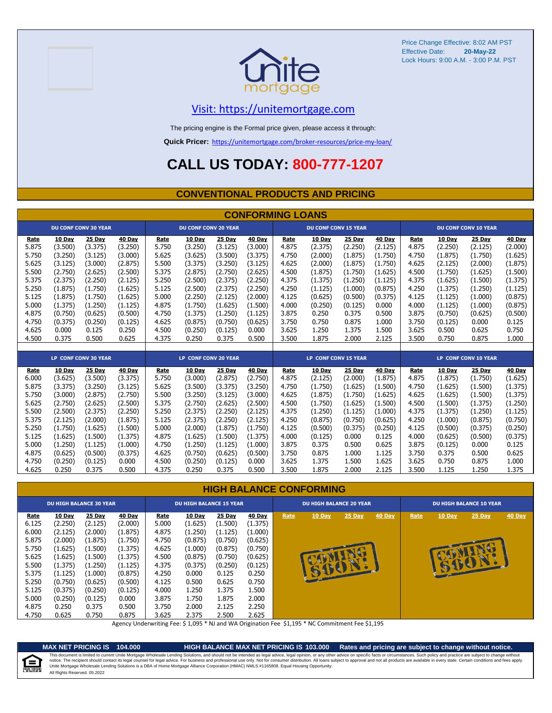



## [V](https://unitemortgage.com/)isit: https://unitemortgage.com

The pricing engine is the Formal price given, please access it through:

**Quick Pricer:** [https://un](https://unitemortgage.com/broker-resources/price-my-loan/)itemortgage.com/broker-resources/price-my-loan/

## **CALL US TODAY: 800-777-1207**

#### **CONVENTIONAL PRODUCTS AND PRICING**

|       |         |                             |         |       |                             |         | <b>CONFORMING LOANS</b> |             |                             |         |               |       |         |                             |         |
|-------|---------|-----------------------------|---------|-------|-----------------------------|---------|-------------------------|-------------|-----------------------------|---------|---------------|-------|---------|-----------------------------|---------|
|       |         | <b>DU CONF CONV 30 YEAR</b> |         |       | <b>DU CONF CONV 20 YEAR</b> |         |                         |             | <b>DU CONF CONV 15 YEAR</b> |         |               |       |         | <b>DU CONF CONV 10 YEAR</b> |         |
| Rate  | 10 Day  | <b>25 Day</b>               | 40 Day  | Rate  | 10 Day                      | 25 Day  | 40 Day                  | Rate        | 10 Day                      | 25 Day  | <b>40 Day</b> | Rate  | 10 Day  | 25 Day                      | 40 Day  |
| 5.875 | (3.500) | (3.375)                     | (3.250) | 5.750 | (3.250)                     | (3.125) | (3.000)                 | 4.875       | (2.375)                     | (2.250) | (2.125)       | 4.875 | (2.250) | (2.125)                     | (2.000) |
| 5.750 | (3.250) | (3.125)                     | (3.000) | 5.625 | (3.625)                     | (3.500) | (3.375)                 | 4.750       | (2.000)                     | (1.875) | (1.750)       | 4.750 | (1.875) | (1.750)                     | (1.625) |
| 5.625 | (3.125) | (3.000)                     | (2.875) | 5.500 | (3.375)                     | (3.250) | (3.125)                 | 4.625       | (2.000)                     | (1.875) | (1.750)       | 4.625 | (2.125) | (2.000)                     | (1.875) |
| 5.500 | (2.750) | (2.625)                     | (2.500) | 5.375 | (2.875)                     | (2.750) | (2.625)                 | 4.500       | (1.875)                     | (1.750) | (1.625)       | 4.500 | (1.750) | (1.625)                     | (1.500) |
| 5.375 | (2.375) | (2.250)                     | (2.125) | 5.250 | (2.500)                     | (2.375) | (2.250)                 | 4.375       | (1.375)                     | (1.250) | (1.125)       | 4.375 | (1.625) | (1.500)                     | (1.375) |
| 5.250 | (1.875) | (1.750)                     | (1.625) | 5.125 | (2.500)                     | (2.375) | (2.250)                 | 4.250       | (1.125)                     | (1.000) | (0.875)       | 4.250 | (1.375) | (1.250)                     | (1.125) |
| 5.125 | (1.875) | (1.750)                     | (1.625) | 5.000 | (2.250)                     | (2.125) | (2.000)                 | 4.125       | (0.625)                     | (0.500) | (0.375)       | 4.125 | (1.125) | (1.000)                     | (0.875) |
| 5.000 | (1.375) | (1.250)                     | (1.125) | 4.875 | (1.750)                     | (1.625) | (1.500)                 | 4.000       | (0.250)                     | (0.125) | 0.000         | 4.000 | (1.125) | (1.000)                     | (0.875) |
| 4.875 | (0.750) | (0.625)                     | (0.500) | 4.750 | (1.375)                     | (1.250) | (1.125)                 | 3.875       | 0.250                       | 0.375   | 0.500         | 3.875 | (0.750) | (0.625)                     | (0.500) |
| 4.750 | (0.375) | (0.250)                     | (0.125) | 4.625 | (0.875)                     | (0.750) | (0.625)                 | 3.750       | 0.750                       | 0.875   | 1.000         | 3.750 | (0.125) | 0.000                       | 0.125   |
| 4.625 | 0.000   | 0.125                       | 0.250   | 4.500 | (0.250)                     | (0.125) | 0.000                   | 3.625       | 1.250                       | 1.375   | 1.500         | 3.625 | 0.500   | 0.625                       | 0.750   |
| 4.500 | 0.375   | 0.500                       | 0.625   | 4.375 | 0.250                       | 0.375   | 0.500                   | 3.500       | 1.875                       | 2.000   | 2.125         | 3.500 | 0.750   | 0.875                       | 1.000   |
|       |         |                             |         |       |                             |         |                         |             |                             |         |               |       |         |                             |         |
|       |         | LP CONF CONV 30 YEAR        |         |       | <b>LP CONF CONV 20 YEAR</b> |         |                         |             | <b>LP CONF CONV 15 YEAR</b> |         |               |       |         | LP CONF CONV 10 YEAR        |         |
| Rate  | 10 Day  | 25 Day                      | 40 Day  | Rate  | 10 Day                      | 25 Day  | 40 Day                  | <b>Rate</b> | 10 Day                      | 25 Day  | 40 Day        | Rate  | 10 Day  | 25 Day                      | 40 Day  |
| 6.000 | (3.625) | (3.500)                     | (3.375) | 5.750 | (3.000)                     | (2.875) | (2.750)                 | 4.875       | (2.125)                     | (2.000) | (1.875)       | 4.875 | (1.875) | (1.750)                     | (1.625) |
| 5.875 | (3.375) | (3.250)                     | (3.125) | 5.625 | (3.500)                     | (3.375) | (3.250)                 | 4.750       | (1.750)                     | (1.625) | (1.500)       | 4.750 | (1.625) | (1.500)                     | (1.375) |
| 5.750 | (3.000) | (2.875)                     | (2.750) | 5.500 | (3.250)                     | (3.125) | (3.000)                 | 4.625       | (1.875)                     | (1.750) | (1.625)       | 4.625 | (1.625) | (1.500)                     | (1.375) |
| 5.625 | (2.750) | (2.625)                     | (2.500) | 5.375 | (2.750)                     | (2.625) | (2.500)                 | 4.500       | (1.750)                     | (1.625) | (1.500)       | 4.500 | (1.500) | (1.375)                     | (1.250) |
| 5.500 | (2.500) | (2.375)                     | (2.250) | 5.250 | (2.375)                     | (2.250) | (2.125)                 | 4.375       | (1.250)                     | (1.125) | (1.000)       | 4.375 | (1.375) | (1.250)                     | (1.125) |
| 5.375 | (2.125) | (2.000)                     | (1.875) | 5.125 | (2.375)                     | (2.250) | (2.125)                 | 4.250       | (0.875)                     | (0.750) | (0.625)       | 4.250 | (1.000) | (0.875)                     | (0.750) |
| 5.250 | (1.750) | (1.625)                     | (1.500) | 5.000 | (2.000)                     | (1.875) | (1.750)                 | 4.125       | (0.500)                     | (0.375) | (0.250)       | 4.125 | (0.500) | (0.375)                     | (0.250) |
| 5.125 | (1.625) | (1.500)                     | (1.375) | 4.875 | (1.625)                     | (1.500) | (1.375)                 | 4.000       | (0.125)                     | 0.000   | 0.125         | 4.000 | (0.625) | (0.500)                     | (0.375) |
| 5.000 | (1.250) | (1.125)                     | (1.000) | 4.750 | (1.250)                     | (1.125) | (1.000)                 | 3.875       | 0.375                       | 0.500   | 0.625         | 3.875 | (0.125) | 0.000                       | 0.125   |
| 4.875 | (0.625) | (0.500)                     | (0.375) | 4.625 | (0.750)                     | (0.625) | (0.500)                 | 3.750       | 0.875                       | 1.000   | 1.125         | 3.750 | 0.375   | 0.500                       | 0.625   |
| 4.750 | (0.250) | (0.125)                     | 0.000   | 4.500 | (0.250)                     | (0.125) | 0.000                   | 3.625       | 1.375                       | 1.500   | 1.625         | 3.625 | 0.750   | 0.875                       | 1.000   |
| 4.625 | 0.250   | 0.375                       | 0.500   | 4.375 | 0.250                       | 0.375   | 0.500                   | 3.500       | 1.875                       | 2.000   | 2.125         | 3.500 | 1.125   | 1.250                       | 1.375   |

#### **HIGH BALANCE CONFORMING**

|       | <b>DU HIGH BALANCE 30 YEAR</b> |         |               |       | <b>DU HIGH BALANCE 15 YEAR</b> |         |         |      | <b>DU HIGH BALANCE 20 YEAR</b> |               |               |      |               | <b>DU HIGH BALANCE 10 YEAR</b> |               |
|-------|--------------------------------|---------|---------------|-------|--------------------------------|---------|---------|------|--------------------------------|---------------|---------------|------|---------------|--------------------------------|---------------|
| Rate  | 10 Day                         | 25 Day  | <b>40 Day</b> | Rate  | 10 Day                         | 25 Day  | 40 Day  | Rate | $10$ Day                       | <b>25 Day</b> | <b>40 Day</b> | Rate | <b>10 Day</b> | $25$ Day                       | <b>40 Day</b> |
| 6.125 | (2.250)                        | (2.125) | (2.000)       | 5.000 | (1.625)                        | (1.500) | (1.375) |      |                                |               |               |      |               |                                |               |
| 6.000 | (2.125)                        | (2.000) | (1.875)       | 4.875 | (1.250)                        | (1.125) | (1.000) |      |                                |               |               |      |               |                                |               |
| 5.875 | (2.000)                        | (1.875) | (1.750)       | 4.750 | (0.875)                        | (0.750) | (0.625) |      |                                |               |               |      |               |                                |               |
| 5.750 | (1.625)                        | (1.500) | (1.375)       | 4.625 | (1.000)                        | (0.875) | (0.750) |      |                                |               |               |      |               |                                |               |
| 5.625 | (1.625)                        | (1.500) | (1.375)       | 4.500 | (0.875)                        | (0.750) | (0.625) |      |                                |               |               |      |               |                                |               |
| 5.500 | (1.375)                        | (1.250) | (1.125)       | 4.375 | (0.375)                        | (0.250) | (0.125) |      |                                | NUT           |               |      |               |                                |               |
| 5.375 | (1.125)                        | (1.000) | (0.875)       | 4.250 | 0.000                          | 0.125   | 0.250   |      |                                |               |               |      |               |                                |               |
| 5.250 | (0.750)                        | (0.625) | (0.500)       | 4.125 | 0.500                          | 0.625   | 0.750   |      |                                |               |               |      |               |                                |               |
| 5.125 | (0.375)                        | (0.250) | (0.125)       | 4.000 | 1.250                          | 1.375   | 1.500   |      |                                |               |               |      |               |                                |               |
| 5.000 | (0.250)                        | (0.125) | 0.000         | 3.875 | 1.750                          | 1.875   | 2.000   |      |                                |               |               |      |               |                                |               |
| 4.875 | 0.250                          | 0.375   | 0.500         | 3.750 | 2.000                          | 2.125   | 2.250   |      |                                |               |               |      |               |                                |               |
| 4.750 | 0.625                          | 0.750   | 0.875         | 3.625 | 2.375                          | 2.500   | 2.625   |      |                                |               |               |      |               |                                |               |

Agency Underwriting Fee: \$ 1,095 \* NJ and WA Origination Fee \$1,195 \* NC Commitment Fee \$1,195

# $\boldsymbol{\Xi}$

**MAX NET PRICING IS 104.000 HIGH BALANCE MAX NET PRICING IS 103.000 Rates and pricing are subject to change without notice.** All Rights Reserved. 05.2022 This document is limited to current Unite Mortgage Wholesale Lending Solutions, and should not be intended as legal advice, legal opinion, or any other advice on specific facts or circumstances. Such policy and practice ar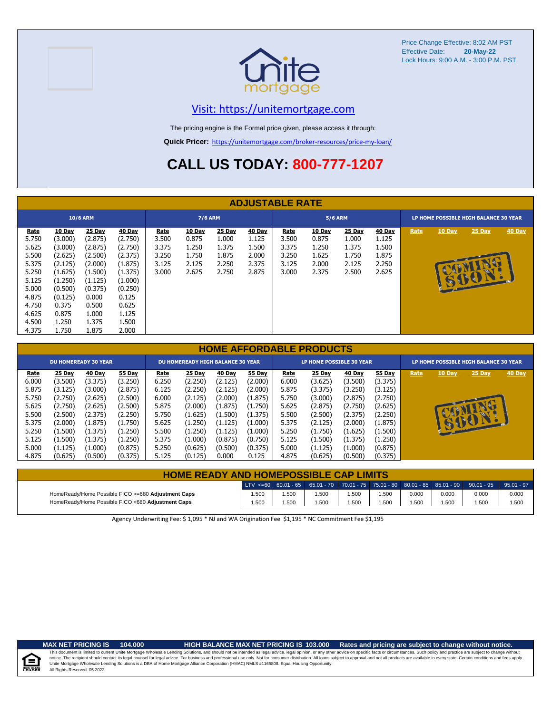



### [V](https://unitemortgage.com/)isit: https://unitemortgage.com

The pricing engine is the Formal price given, please access it through:

**Quick Pricer:** [https://un](https://unitemortgage.com/broker-resources/price-my-loan/)itemortgage.com/broker-resources/price-my-loan/

# **CALL US TODAY: 800-777-1207**

|                                                                                                                |                                                                                                                                  |                                                                                                                                |                                                                                                                                         |                                                          |                                                            |                                                            | <b>ADJUSTABLE RATE</b>                                     |                                                          |                                                            |                                                            |                                                            |      |          |                                       |               |
|----------------------------------------------------------------------------------------------------------------|----------------------------------------------------------------------------------------------------------------------------------|--------------------------------------------------------------------------------------------------------------------------------|-----------------------------------------------------------------------------------------------------------------------------------------|----------------------------------------------------------|------------------------------------------------------------|------------------------------------------------------------|------------------------------------------------------------|----------------------------------------------------------|------------------------------------------------------------|------------------------------------------------------------|------------------------------------------------------------|------|----------|---------------------------------------|---------------|
|                                                                                                                |                                                                                                                                  | <b>10/6 ARM</b>                                                                                                                |                                                                                                                                         |                                                          | <b>7/6 ARM</b>                                             |                                                            |                                                            |                                                          | <b>5/6 ARM</b>                                             |                                                            |                                                            |      |          | LP HOME POSSIBLE HIGH BALANCE 30 YEAR |               |
| <b>Rate</b><br>5.750<br>5.625<br>5.500<br>5.375<br>5.250<br>5.125<br>5.000<br>4.875<br>4.750<br>4.625<br>4.500 | <b>10 Day</b><br>(3.000)<br>(3.000)<br>(2.625)<br>(2.125)<br>(1.625)<br>(1.250)<br>(0.500)<br>(0.125)<br>0.375<br>0.875<br>1.250 | <b>25 Day</b><br>(2.875)<br>(2.875)<br>(2.500)<br>(2.000)<br>(1.500)<br>(1.125)<br>(0.375)<br>0.000<br>0.500<br>1.000<br>1.375 | <b>40 Day</b><br>(2.750)<br>(2.750)<br>(2.375)<br>(1.875)<br>(1.375)<br>(1.000)<br>(0.250)<br>0.125<br>0.625<br>1.125<br>1.500<br>2.000 | <b>Rate</b><br>3.500<br>3.375<br>3.250<br>3.125<br>3.000 | <b>10 Day</b><br>0.875<br>1.250<br>1.750<br>2.125<br>2.625 | <b>25 Day</b><br>1.000<br>1.375<br>1.875<br>2.250<br>2.750 | <b>40 Day</b><br>1.125<br>1.500<br>2.000<br>2.375<br>2.875 | <b>Rate</b><br>3.500<br>3.375<br>3.250<br>3.125<br>3.000 | <b>10 Day</b><br>0.875<br>1.250<br>1.625<br>2.000<br>2.375 | <b>25 Day</b><br>1.000<br>1.375<br>1.750<br>2.125<br>2.500 | <b>40 Day</b><br>1.125<br>1.500<br>1.875<br>2.250<br>2.625 | Rate | $10$ Day | $25$ Day                              | <b>40 Day</b> |

|       |         |                             |         |       |                                          |               |               |       | <b>HOME AFFORDABLE PRODUCTS</b> |               |         |      |        |                                       |               |
|-------|---------|-----------------------------|---------|-------|------------------------------------------|---------------|---------------|-------|---------------------------------|---------------|---------|------|--------|---------------------------------------|---------------|
|       |         | <b>DU HOMEREADY 30 YEAR</b> |         |       | <b>DU HOMEREADY HIGH BALANCE 30 YEAR</b> |               |               |       | LP HOME POSSIBLE 30 YEAR        |               |         |      |        | LP HOME POSSIBLE HIGH BALANCE 30 YEAR |               |
| Rate  | 25 Day  | 40 Day                      | 55 Day  | Rate  | <b>25 Day</b>                            | <b>40 Day</b> | <b>55 Day</b> | Rate  | <b>25 Day</b>                   | <b>40 Day</b> | 55 Day  | Rate | 10 Day | 25 Day                                | <b>40 Day</b> |
| 6.000 | (3.500) | (3.375)                     | (3.250) | 6.250 | (2.250)                                  | (2.125)       | (2.000)       | 6.000 | (3.625)                         | (3.500)       | (3.375) |      |        |                                       |               |
| 5.875 | (3.125) | (3.000)                     | (2.875) | 6.125 | (2.250)                                  | (2.125)       | (2.000)       | 5.875 | (3.375)                         | (3.250)       | (3.125) |      |        |                                       |               |
| 5.750 | (2.750) | (2.625)                     | (2.500) | 6.000 | (2.125)                                  | (2.000)       | (1.875)       | 5.750 | (3.000)                         | (2.875)       | (2.750) |      |        |                                       |               |
| 5.625 | (2.750) | (2.625)                     | (2.500) | 5.875 | (2.000)                                  | (1.875)       | (1.750)       | 5.625 | (2.875)                         | (2.750)       | (2.625) |      |        |                                       |               |
| 5.500 | (2.500) | (2.375)                     | (2.250) | 5.750 | (1.625)                                  | (1.500)       | (1.375)       | 5.500 | (2.500)                         | (2.375)       | (2.250) |      |        |                                       |               |
| 5.375 | (2.000) | (1.875)                     | (1.750) | 5.625 | (1.250)                                  | (1.125)       | (1.000)       | 5.375 | (2.125)                         | (2.000)       | (1.875) |      |        | <b>STEPS</b>                          |               |
| 5.250 | (1.500) | (1.375)                     | (1.250) | 5.500 | (1.250)                                  | (1.125)       | (1.000)       | 5.250 | (1.750)                         | (1.625)       | (1.500) |      |        |                                       |               |
| 5.125 | (1.500) | (1.375)                     | (1.250) | 5.375 | (1.000)                                  | (0.875)       | (0.750)       | 5.125 | (1.500)                         | (1.375)       | (1.250) |      |        |                                       |               |
| 5.000 | (1.125) | (1.000)                     | (0.875) | 5.250 | (0.625)                                  | (0.500)       | (0.375)       | 5.000 | (1.125)                         | (1.000)       | (0.875) |      |        |                                       |               |
| 4.875 | (0.625) | (0.500)                     | (0.375) | 5.125 | (0.125)                                  | 0.000         | 0.125         | 4.875 | (0.625)                         | (0.500)       | (0.375) |      |        |                                       |               |

| <b>HOME READY AND HOMEPOSSIBLE CAP LIMITS</b>      |       |       |                                                                                                                                                                                                   |       |      |       |       |       |              |
|----------------------------------------------------|-------|-------|---------------------------------------------------------------------------------------------------------------------------------------------------------------------------------------------------|-------|------|-------|-------|-------|--------------|
|                                                    |       |       | $^{\prime}$ LTV <=60 $^{\prime}$ 60.01 - 65 $^{\prime}$ 65.01 - 70 $^{\prime}$ 70.01 - 75 $^{\prime}$ 75.01 - 80 $^{\prime}$ 80.01 - 85 $^{\prime}$ 85.01 - 90 $^{\prime}$ 90.01 - 95 $^{\prime}$ |       |      |       |       |       | $95.01 - 97$ |
| HomeReady/Home Possible FICO >=680 Adjustment Caps | 1.500 | 1.500 | 1.500                                                                                                                                                                                             | 1.500 | .500 | 0.000 | 0.000 | 0.000 | 0.000        |
| HomeReady/Home Possible FICO <680 Adjustment Caps  | 1.500 | .500  | 1.500                                                                                                                                                                                             | 1.500 | .500 | .500  | .500  | .500  | 1.500        |

Agency Underwriting Fee: \$ 1,095 \* NJ and WA Origination Fee \$1,195 \* NC Commitment Fee \$1,195



### **MAX NET PRICING IS 104.000 HIGH BALANCE MAX NET PRICING IS 103.000 Rates and pricing are subject to change without notice.**

All Rights Reserved. 05.2022 This document is limited to current Unite Mortgage Wholesale Lending Solutions, and should not be intended as legal advice, legal opinion, or any other advice on specific facts or circumstances. Such policy and practice ar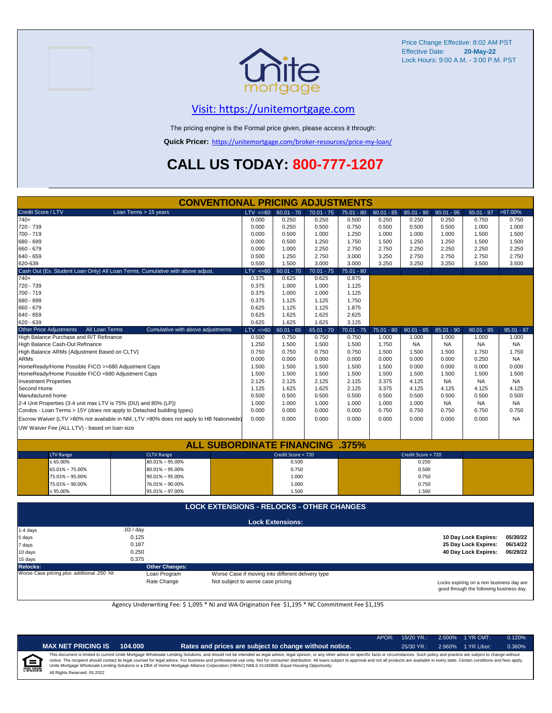

## [V](https://unitemortgage.com/)isit: https://unitemortgage.com

The pricing engine is the Formal price given, please access it through:

**Quick Pricer:** [https://un](https://unitemortgage.com/broker-resources/price-my-loan/)itemortgage.com/broker-resources/price-my-loan/

# **CALL US TODAY: 800-777-1207**

|                                                                 | <b>CONVENTIONAL PRICING ADJUSTMENTS</b>                                                |                |                         |                |                |              |                    |              |                      |              |
|-----------------------------------------------------------------|----------------------------------------------------------------------------------------|----------------|-------------------------|----------------|----------------|--------------|--------------------|--------------|----------------------|--------------|
| Credit Score / LTV                                              | Loan Terms > 15 years                                                                  | $LTV \le 60$   | $60.01 - 70$            | $70.01 - 75$   | $75.01 - 80$   | $80.01 - 85$ | $85.01 - 90$       | $90.01 - 95$ | $95.01 - 97$         | >97.00%      |
| 740+                                                            |                                                                                        | 0.000          | 0.250                   | 0.250          | 0.500          | 0.250        | 0.250              | 0.250        | 0.750                | 0.750        |
| 720 - 739                                                       |                                                                                        | 0.000          | 0.250                   | 0.500          | 0.750          | 0.500        | 0.500              | 0.500        | 1.000                | 1.000        |
| 700 - 719                                                       |                                                                                        | 0.000          | 0.500                   | 1.000          | 1.250          | 1.000        | 1.000              | 1.000        | 1.500                | 1.500        |
| 680 - 699                                                       |                                                                                        | 0.000          | 0.500                   | 1.250          | 1.750          | 1.500        | 1.250              | 1.250        | 1.500                | 1.500        |
| 660 - 679                                                       |                                                                                        | 0.000          | 1.000                   | 2.250          | 2.750          | 2.750        | 2.250              | 2.250        | 2.250                | 2.250        |
| $640 - 659$                                                     |                                                                                        | 0.500          | 1.250                   | 2.750          | 3.000          | 3.250        | 2.750              | 2.750        | 2.750                | 2.750        |
| 620-639                                                         |                                                                                        | 0.500          | 1.500                   | 3.000          | 3.000          | 3.250        | 3.250              | 3.250        | 3.500                | 3.500        |
|                                                                 | Cash Out (Ex. Student Loan Only) All Loan Terms. Cumulative with above adjust.         | $LTV \le 60$   | $60.01 - 70$            | $70.01 - 75$   | $75.01 - 80$   |              |                    |              |                      |              |
| $740+$                                                          |                                                                                        | 0.375          | 0.625                   | 0.625          | 0.875          |              |                    |              |                      |              |
| 720 - 739                                                       |                                                                                        | 0.375          | 1.000                   | 1.000          | 1.125          |              |                    |              |                      |              |
| 700 - 719                                                       |                                                                                        | 0.375<br>0.375 | 1.000                   | 1.000          | 1.125          |              |                    |              |                      |              |
| 680 - 699<br>660 - 679                                          |                                                                                        | 0.625          | 1.125<br>1.125          | 1.125<br>1.125 | 1.750<br>1.875 |              |                    |              |                      |              |
| 640 - 659                                                       |                                                                                        | 0.625          | 1.625                   | 1.625          | 2.625          |              |                    |              |                      |              |
| $620 - 639$                                                     |                                                                                        | 0.625          | 1.625                   | 1.625          | 3.125          |              |                    |              |                      |              |
| <b>Other Price Adjustments</b>                                  | All Loan Terms<br>Cumulative with above adjustments                                    | $LTV \le 60$   | $60.01 - 65$            | $65.01 - 70$   | $70.01 - 75$   | $75.01 - 80$ | $80.01 - 85$       | $85.01 - 90$ | $90.01 - 95$         | $95.01 - 97$ |
| High Balance Purchase and R/T Refinance                         |                                                                                        | 0.500          | 0.750                   | 0.750          | 0.750          | 1.000        | 1.000              | 1.000        | 1.000                | 1.000        |
| High Balance Cash-Out Refinance                                 |                                                                                        | 1.250          | 1.500                   | 1.500          | 1.500          | 1.750        | <b>NA</b>          | <b>NA</b>    | <b>NA</b>            | <b>NA</b>    |
| High Balance ARMs (Adjustment Based on CLTV)                    |                                                                                        | 0.750          | 0.750                   | 0.750          | 0.750          | 1.500        | 1.500              | 1.500        | 1.750                | 1.750        |
| <b>ARMs</b>                                                     |                                                                                        | 0.000          | 0.000                   | 0.000          | 0.000          | 0.000        | 0.000              | 0.000        | 0.250                | <b>NA</b>    |
| HomeReady/Home Possible FICO >=680 Adjustment Caps              |                                                                                        | 1.500          | 1.500                   | 1.500          | 1.500          | 1.500        | 0.000              | 0.000        | 0.000                | 0.000        |
| HomeReady/Home Possible FICO <680 Adjustment Caps               |                                                                                        | 1.500          | 1.500                   | 1.500          | 1.500          | 1.500        | 1.500              | 1.500        | 1.500                | 1.500        |
| <b>Investment Properties</b>                                    |                                                                                        | 2.125          | 2.125                   | 2.125          | 2.125          | 3.375        | 4.125              | <b>NA</b>    | <b>NA</b>            | <b>NA</b>    |
| Second Home                                                     |                                                                                        | 1.125          | 1.625                   | 1.625          | 2.125          | 3.375        | 4.125              | 4.125        | 4.125                | 4.125        |
| Manufactured home                                               |                                                                                        | 0.500          | 0.500                   | 0.500          | 0.500          | 0.500        | 0.500              | 0.500        | 0.500                | 0.500        |
| 2-4 Unit Properties (3-4 unit max LTV is 75% (DU) and 80% (LP)) |                                                                                        | 1.000          | 1.000                   | 1.000          | 1.000          | 1.000        | 1.000              | <b>NA</b>    | <b>NA</b>            | <b>NA</b>    |
|                                                                 | Condos - Loan Terms > 15Y (does not apply to Detached building types)                  | 0.000          | 0.000                   | 0.000          | 0.000          | 0.750        | 0.750              | 0.750        | 0.750                | 0.750        |
|                                                                 | Escrow Waiver (LTV >80% not available in NM, LTV >90% does not apply to HB Nationwide) | 0.000          | 0.000                   | 0.000          | 0.000          | 0.000        | 0.000              | 0.000        | 0.000                | <b>NA</b>    |
| UW Waiver Fee (ALL LTV) - based on loan size                    |                                                                                        |                |                         |                |                |              |                    |              |                      |              |
|                                                                 |                                                                                        |                |                         |                |                |              |                    |              |                      |              |
|                                                                 | <b>ALL SUBORDINATE FINANCING</b>                                                       |                |                         |                | .375%          |              |                    |              |                      |              |
| <b>LTV Range</b>                                                | <b>CLTV Range</b>                                                                      |                | Credit Score < 720      |                |                |              | Credit Score > 720 |              |                      |              |
| ≤ 65.00%                                                        | $80.01\% - 95.00\%$                                                                    |                | 0.500                   |                |                |              | 0.250              |              |                      |              |
| 65.01% - 75.00%                                                 | $80.01\% - 95.00\%$                                                                    |                | 0.750                   |                |                |              | 0.500              |              |                      |              |
| 75.01% - 95.00%                                                 | $90.01\% - 95.00\%$                                                                    |                | 1.000                   |                |                |              | 0.750              |              |                      |              |
| 75.01% - 90.00%                                                 | 76.01% - 90.00%                                                                        |                | 1.000                   |                |                |              | 0.750              |              |                      |              |
| $\leq 95.00\%$                                                  | $95.01\% - 97.00\%$                                                                    |                | 1.500                   |                |                |              | 1.500              |              |                      |              |
|                                                                 |                                                                                        |                |                         |                |                |              |                    |              |                      |              |
|                                                                 | <b>LOCK EXTENSIONS - RELOCKS - OTHER CHANGES</b>                                       |                |                         |                |                |              |                    |              |                      |              |
|                                                                 |                                                                                        |                | <b>Lock Extensions:</b> |                |                |              |                    |              |                      |              |
| 1-4 days                                                        | .03 / day                                                                              |                |                         |                |                |              |                    |              |                      |              |
| 5 days                                                          | 0.125                                                                                  |                |                         |                |                |              |                    |              | 10 Day Lock Expires: | 05/30/22     |
| 7 days                                                          | 0.187                                                                                  |                |                         |                |                |              |                    |              | 25 Day Lock Expires: | 06/14/22     |

| 10 days                                     | 0.250                 |                                                   | 40 Dav Lock Expires:<br>06/29/22                                                     |
|---------------------------------------------|-----------------------|---------------------------------------------------|--------------------------------------------------------------------------------------|
| 15 days                                     | 0.375                 |                                                   |                                                                                      |
| Relocks:                                    | <b>Other Changes:</b> |                                                   |                                                                                      |
| Worse Case pricing plus additional .250 hit | Loan Program          | Worse Case if moving into different delivery type |                                                                                      |
|                                             | Rate Change           | Not subject to worse case pricing                 | Locks expiring on a non business day are<br>good through the following business day. |

Agency Underwriting Fee: \$ 1,095 \* NJ and WA Origination Fee \$1,195 \* NC Commitment Fee \$1,195

| ñ<br>٠ |
|--------|

| ET PRICING IS | 104.000 |
|---------------|---------|
|---------------|---------|

**MAX NET PRICING IS 104.000 Rates and prices are subject to change without notice.** 25/30 YR.: 2.960% 1 YR Libor: 0.360%

APOR: 15/20 YR.: 2.500% 1 YR CMT: 0.120%

All Rights Reserved. 05.2022 This document is limited to current Unite Mortgage Wholesale Lending Solutions, and should not be intended as legal advice, legal opinion, or any other advice on specific facts or circumstances. Such policy and practice ar